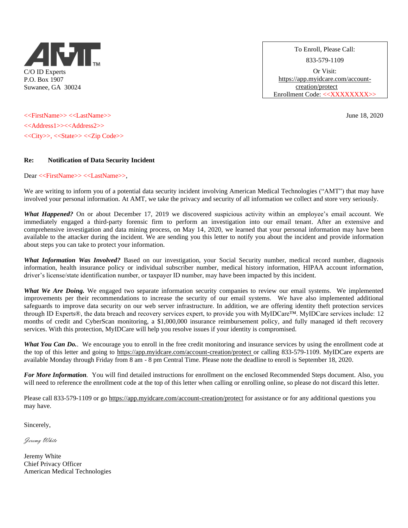

To Enroll, Please Call: 833-579-1109 Or Visit: [https://app.myidcare.com/account](https://app.myidcare.com/account-creation/protect)[creation/protect](https://app.myidcare.com/account-creation/protect)  Enrollment Code: <<XXXXXXXX>>

<<FirstName>> <<LastName>> June 18, 2020 <<Address1>><<Address2>> <<City>>, <<State>> <<Zip Code>>

## **Re: Notification of Data Security Incident**

Dear <<FirstName>> <<LastName>>,

We are writing to inform you of a potential data security incident involving American Medical Technologies ("AMT") that may have involved your personal information. At AMT, we take the privacy and security of all information we collect and store very seriously.

*What Happened?* On or about December 17, 2019 we discovered suspicious activity within an employee's email account. We immediately engaged a third-party forensic firm to perform an investigation into our email tenant. After an extensive and comprehensive investigation and data mining process, on May 14, 2020, we learned that your personal information may have been available to the attacker during the incident. We are sending you this letter to notify you about the incident and provide information about steps you can take to protect your information.

*What Information Was Involved?* Based on our investigation, your Social Security number, medical record number, diagnosis information, health insurance policy or individual subscriber number, medical history information, HIPAA account information, driver's license/state identification number, or taxpayer ID number, may have been impacted by this incident.

*What We Are Doing.* We engaged two separate information security companies to review our email systems. We implemented improvements per their recommendations to increase the security of our email systems. We have also implemented additional safeguards to improve data security on our web server infrastructure. In addition, we are offering identity theft protection services through ID Experts®, the data breach and recovery services expert, to provide you with MyIDCare™. MyIDCare services include: 12 months of credit and CyberScan monitoring, a \$1,000,000 insurance reimbursement policy, and fully managed id theft recovery services. With this protection, MyIDCare will help you resolve issues if your identity is compromised.

What You Can Do.. We encourage you to enroll in the free credit monitoring and insurance services by using the enrollment code at the top of this letter and going to<https://app.myidcare.com/account-creation/protect> or calling 833-579-1109. MyIDCare experts are available Monday through Friday from 8 am - 8 pm Central Time. Please note the deadline to enroll is September 18, 2020.

*For More Information.* You will find detailed instructions for enrollment on the enclosed Recommended Steps document. Also, you will need to reference the enrollment code at the top of this letter when calling or enrolling online, so please do not discard this letter.

Please call 833-579-1109 or go<https://app.myidcare.com/account-creation/protect> for assistance or for any additional questions you may have.

Sincerely,

Jeremy White

Jeremy White Chief Privacy Officer American Medical Technologies